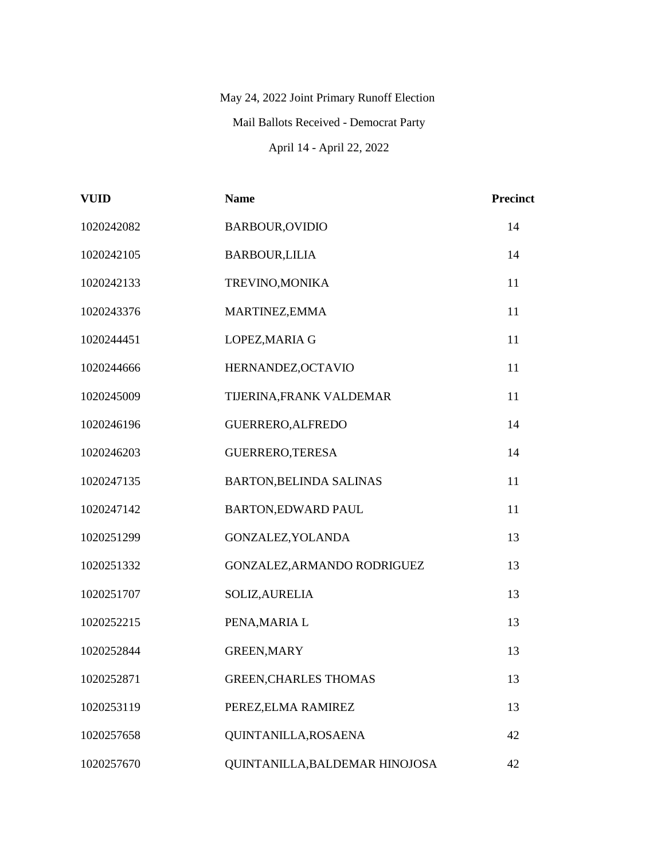## May 24, 2022 Joint Primary Runoff Election Mail Ballots Received - Democrat Party April 14 - April 22, 2022

| <b>VUID</b> | <b>Name</b>                    | Precinct |
|-------------|--------------------------------|----------|
| 1020242082  | <b>BARBOUR, OVIDIO</b>         | 14       |
| 1020242105  | <b>BARBOUR,LILIA</b>           | 14       |
| 1020242133  | TREVINO, MONIKA                | 11       |
| 1020243376  | MARTINEZ, EMMA                 | 11       |
| 1020244451  | LOPEZ, MARIA G                 | 11       |
| 1020244666  | HERNANDEZ, OCTAVIO             | 11       |
| 1020245009  | TIJERINA, FRANK VALDEMAR       | 11       |
| 1020246196  | GUERRERO, ALFREDO              | 14       |
| 1020246203  | GUERRERO, TERESA               | 14       |
| 1020247135  | BARTON, BELINDA SALINAS        | 11       |
| 1020247142  | <b>BARTON,EDWARD PAUL</b>      | 11       |
| 1020251299  | GONZALEZ, YOLANDA              | 13       |
| 1020251332  | GONZALEZ, ARMANDO RODRIGUEZ    | 13       |
| 1020251707  | SOLIZ, AURELIA                 | 13       |
| 1020252215  | PENA, MARIA L                  | 13       |
| 1020252844  | <b>GREEN, MARY</b>             | 13       |
| 1020252871  | <b>GREEN, CHARLES THOMAS</b>   | 13       |
| 1020253119  | PEREZ, ELMA RAMIREZ            | 13       |
| 1020257658  | QUINTANILLA, ROSAENA           | 42       |
| 1020257670  | QUINTANILLA, BALDEMAR HINOJOSA | 42       |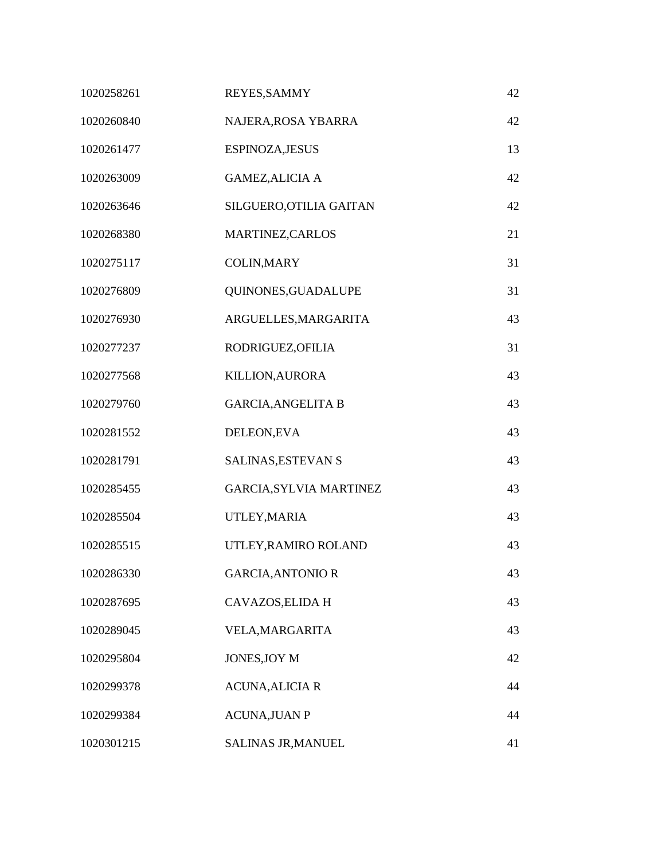| 1020258261 | REYES, SAMMY                   | 42 |
|------------|--------------------------------|----|
| 1020260840 | NAJERA, ROSA YBARRA            | 42 |
| 1020261477 | ESPINOZA, JESUS                | 13 |
| 1020263009 | <b>GAMEZ, ALICIA A</b>         | 42 |
| 1020263646 | SILGUERO, OTILIA GAITAN        | 42 |
| 1020268380 | MARTINEZ, CARLOS               | 21 |
| 1020275117 | <b>COLIN, MARY</b>             | 31 |
| 1020276809 | QUINONES, GUADALUPE            | 31 |
| 1020276930 | ARGUELLES, MARGARITA           | 43 |
| 1020277237 | RODRIGUEZ, OFILIA              | 31 |
| 1020277568 | <b>KILLION, AURORA</b>         | 43 |
| 1020279760 | <b>GARCIA, ANGELITA B</b>      | 43 |
| 1020281552 | DELEON, EVA                    | 43 |
| 1020281791 | SALINAS, ESTEVAN S             | 43 |
| 1020285455 | <b>GARCIA, SYLVIA MARTINEZ</b> | 43 |
| 1020285504 | UTLEY, MARIA                   | 43 |
| 1020285515 | UTLEY, RAMIRO ROLAND           | 43 |
| 1020286330 | <b>GARCIA, ANTONIO R</b>       | 43 |
| 1020287695 | CAVAZOS, ELIDA H               | 43 |
| 1020289045 | VELA, MARGARITA                | 43 |
| 1020295804 | JONES, JOY M                   | 42 |
| 1020299378 | <b>ACUNA, ALICIA R</b>         | 44 |
| 1020299384 | <b>ACUNA, JUAN P</b>           | 44 |
| 1020301215 | SALINAS JR, MANUEL             | 41 |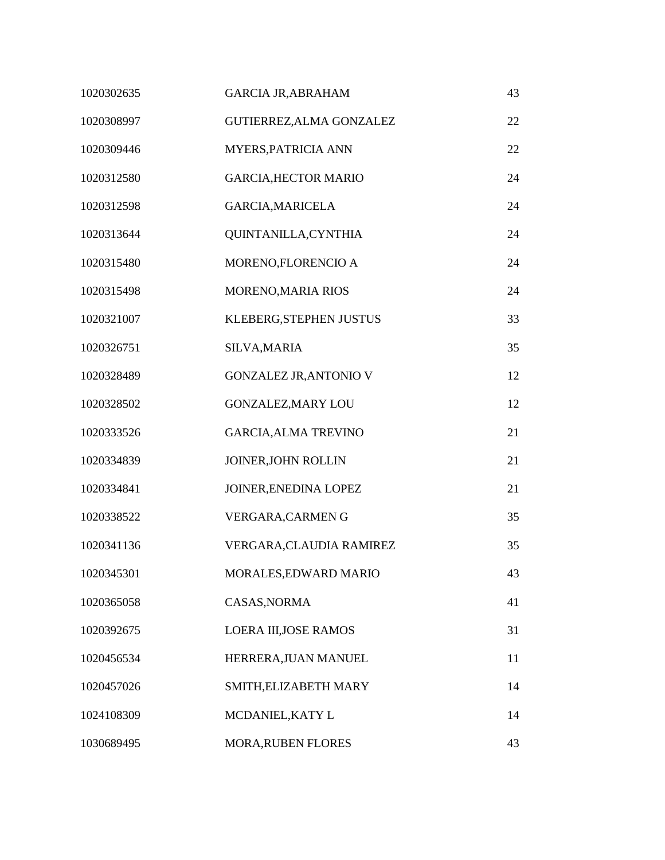| 1020302635 | <b>GARCIA JR, ABRAHAM</b>     | 43 |
|------------|-------------------------------|----|
| 1020308997 | GUTIERREZ, ALMA GONZALEZ      | 22 |
| 1020309446 | MYERS, PATRICIA ANN           | 22 |
| 1020312580 | <b>GARCIA, HECTOR MARIO</b>   | 24 |
| 1020312598 | GARCIA, MARICELA              | 24 |
| 1020313644 | QUINTANILLA, CYNTHIA          | 24 |
| 1020315480 | MORENO,FLORENCIO A            | 24 |
| 1020315498 | MORENO, MARIA RIOS            | 24 |
| 1020321007 | KLEBERG, STEPHEN JUSTUS       | 33 |
| 1020326751 | SILVA, MARIA                  | 35 |
| 1020328489 | <b>GONZALEZ JR, ANTONIO V</b> | 12 |
| 1020328502 | <b>GONZALEZ, MARY LOU</b>     | 12 |
| 1020333526 | <b>GARCIA, ALMA TREVINO</b>   | 21 |
| 1020334839 | JOINER, JOHN ROLLIN           | 21 |
| 1020334841 | JOINER, ENEDINA LOPEZ         | 21 |
| 1020338522 | VERGARA, CARMENG              | 35 |
| 1020341136 | VERGARA, CLAUDIA RAMIREZ      | 35 |
| 1020345301 | MORALES, EDWARD MARIO         | 43 |
| 1020365058 | CASAS, NORMA                  | 41 |
| 1020392675 | LOERA III, JOSE RAMOS         | 31 |
| 1020456534 | HERRERA, JUAN MANUEL          | 11 |
| 1020457026 | SMITH, ELIZABETH MARY         | 14 |
| 1024108309 | MCDANIEL, KATY L              | 14 |
| 1030689495 | MORA, RUBEN FLORES            | 43 |